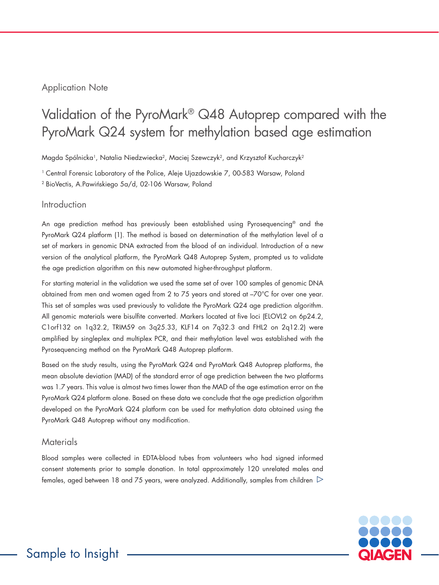# Application Note

# Validation of the PyroMark® Q48 Autoprep compared with the PyroMark Q24 system for methylation based age estimation

Magda Spólnicka<sup>1</sup>, Natalia Niedzwiecka<sup>2</sup>, Maciej Szewczyk<sup>2</sup>, and Krzysztof Kucharczyk<sup>2</sup>

<sup>1</sup> Central Forensic Laboratory of the Police, Aleje Ujazdowskie 7, 00-583 Warsaw, Poland

<sup>2</sup> BioVectis, A.Pawińskiego 5a/d, 02-106 Warsaw, Poland

# Introduction

An age prediction method has previously been established using Pyrosequencing® and the PyroMark Q24 platform (1). The method is based on determination of the methylation level of a set of markers in genomic DNA extracted from the blood of an individual. Introduction of a new version of the analytical platform, the PyroMark Q48 Autoprep System, prompted us to validate the age prediction algorithm on this new automated higher-throughput platform.

For starting material in the validation we used the same set of over 100 samples of genomic DNA obtained from men and women aged from 2 to 75 years and stored at –70°C for over one year. This set of samples was used previously to validate the PyroMark Q24 age prediction algorithm. All genomic materials were bisulfite converted. Markers located at five loci (ELOVL2 on 6p24.2, C1orf132 on 1q32.2, TRIM59 on 3q25.33, KLF14 on 7q32.3 and FHL2 on 2q12.2) were amplified by singleplex and multiplex PCR, and their methylation level was established with the Pyrosequencing method on the PyroMark Q48 Autoprep platform.

Based on the study results, using the PyroMark Q24 and PyroMark Q48 Autoprep platforms, the mean absolute deviation (MAD) of the standard error of age prediction between the two platforms was 1.7 years. This value is almost two times lower than the MAD of the age estimation error on the PyroMark Q24 platform alone. Based on these data we conclude that the age prediction algorithm developed on the PyroMark Q24 platform can be used for methylation data obtained using the PyroMark Q48 Autoprep without any modification.

# **Materials**

Blood samples were collected in EDTA-blood tubes from volunteers who had signed informed consent statements prior to sample donation. In total approximately 120 unrelated males and females, aged between 18 and 75 years, were analyzed. Additionally, samples from children  $\triangleright$ 

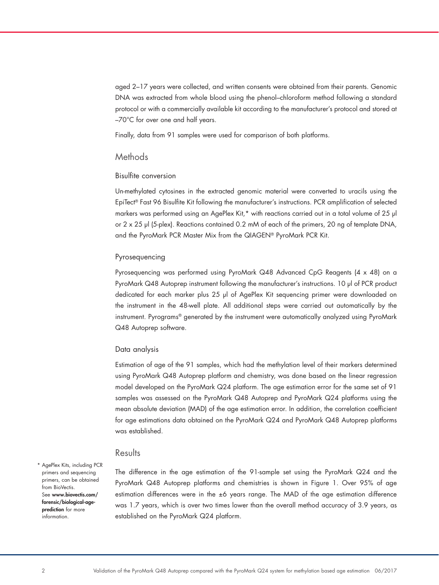aged 2–17 years were collected, and written consents were obtained from their parents. Genomic DNA was extracted from whole blood using the phenol–chloroform method following a standard protocol or with a commercially available kit according to the manufacturer's protocol and stored at –70°C for over one and half years.

Finally, data from 91 samples were used for comparison of both platforms.

### **Methods**

#### Bisulfite conversion

Un-methylated cytosines in the extracted genomic material were converted to uracils using the EpiTect® Fast 96 Bisulfite Kit following the manufacturer's instructions. PCR amplification of selected markers was performed using an AgePlex Kit,\* with reactions carried out in a total volume of 25 μl or 2 x 25 μl (5-plex). Reactions contained 0.2 mM of each of the primers, 20 ng of template DNA, and the PyroMark PCR Master Mix from the QIAGEN® PyroMark PCR Kit.

#### Pyrosequencing

Pyrosequencing was performed using PyroMark Q48 Advanced CpG Reagents (4 x 48) on a PyroMark Q48 Autoprep instrument following the manufacturer's instructions. 10 μl of PCR product dedicated for each marker plus 25 μl of AgePlex Kit sequencing primer were downloaded on the instrument in the 48-well plate. All additional steps were carried out automatically by the instrument. Pyrograms® generated by the instrument were automatically analyzed using PyroMark Q48 Autoprep software.

#### Data analysis

Estimation of age of the 91 samples, which had the methylation level of their markers determined using PyroMark Q48 Autoprep platform and chemistry, was done based on the linear regression model developed on the PyroMark Q24 platform. The age estimation error for the same set of 91 samples was assessed on the PyroMark Q48 Autoprep and PyroMark Q24 platforms using the mean absolute deviation (MAD) of the age estimation error. In addition, the correlation coefficient for age estimations data obtained on the PyroMark Q24 and PyroMark Q48 Autoprep platforms was established.

## **Results**

\* AgePlex Kits, including PCR primers and sequencing primers, can be obtained from BioVectis. See www.biovectis.com/ forensic/biological-ageprediction for more information.

The difference in the age estimation of the 91-sample set using the PyroMark Q24 and the PyroMark Q48 Autoprep platforms and chemistries is shown in Figure 1. Over 95% of age estimation differences were in the ±6 years range. The MAD of the age estimation difference was 1.7 years, which is over two times lower than the overall method accuracy of 3.9 years, as established on the PyroMark Q24 platform.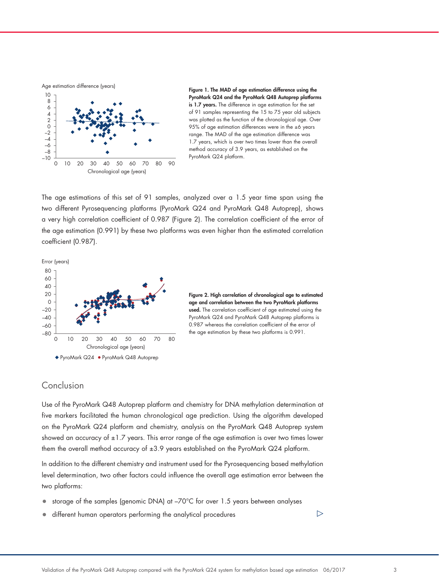Age estimation difference (years)



Figure 1. The MAD of age estimation difference using the PyroMark Q24 and the PyroMark Q48 Autoprep platforms is 1.7 years. The difference in age estimation for the set of 91 samples representing the 15 to 75 year old subjects was plotted as the function of the chronological age. Over 95% of age estimation differences were in the ±6 years range. The MAD of the age estimation difference was 1.7 years, which is over two times lower than the overall method accuracy of 3.9 years, as established on the PyroMark Q24 platform.

The age estimations of this set of 91 samples, analyzed over a 1.5 year time span using the two different Pyrosequencing platforms (PyroMark Q24 and PyroMark Q48 Autoprep), shows a very high correlation coefficient of 0.987 (Figure 2). The correlation coefficient of the error of the age estimation (0.991) by these two platforms was even higher than the estimated correlation coefficient (0.987).







## Conclusion

Use of the PyroMark Q48 Autoprep platform and chemistry for DNA methylation determination at five markers facilitated the human chronological age prediction. Using the algorithm developed on the PyroMark Q24 platform and chemistry, analysis on the PyroMark Q48 Autoprep system showed an accuracy of  $\pm 1.7$  years. This error range of the age estimation is over two times lower them the overall method accuracy of  $\pm 3.9$  years established on the PyroMark Q24 platform.

In addition to the different chemistry and instrument used for the Pyrosequencing based methylation level determination, two other factors could influence the overall age estimation error between the two platforms:

- storage of the samples (genomic DNA) at –70°C for over 1.5 years between analyses
- different human operators performing the analytical procedures

 $\triangleright$